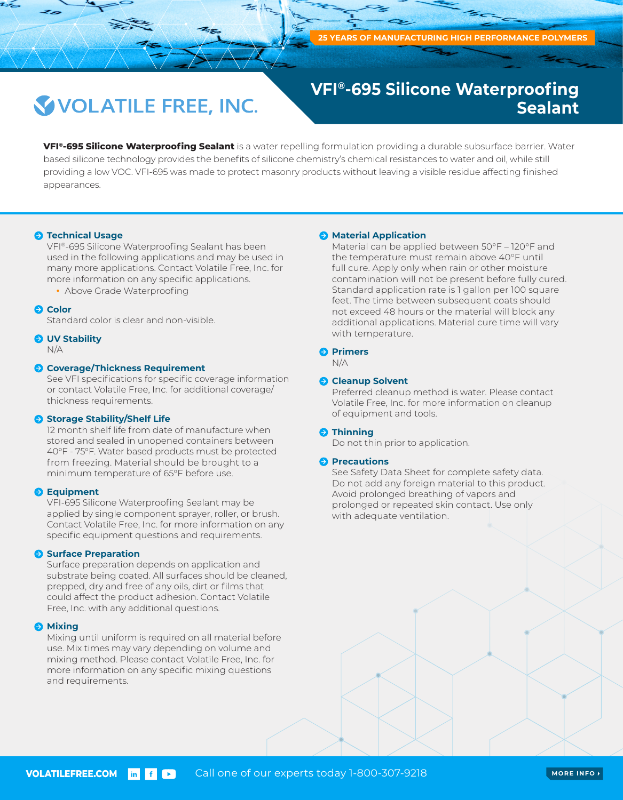## **VOLATILE FREE, INC.**

## **VFI®-695 Silicone Waterproofing Sealant**

**VFI®-695 Silicone Waterproofing Sealant** is a water repelling formulation providing a durable subsurface barrier. Water based silicone technology provides the benefits of silicone chemistry's chemical resistances to water and oil, while still providing a low VOC. VFI-695 was made to protect masonry products without leaving a visible residue affecting finished appearances.

## $\bullet$  **Technical Usage**

VFI®-695 Silicone Waterproofing Sealant has been used in the following applications and may be used in many more applications. Contact Volatile Free, Inc. for more information on any specific applications.

• Above Grade Waterproofing

#### **Q** Color

Standard color is clear and non-visible.

## $O$  UV Stability

N/A

#### **Coverage/Thickness Requirement**

See VFI specifications for specific coverage information or contact Volatile Free, Inc. for additional coverage/ thickness requirements.

## **Storage Stability/Shelf Life**

12 month shelf life from date of manufacture when stored and sealed in unopened containers between 40°F - 75°F. Water based products must be protected from freezing. Material should be brought to a minimum temperature of 65°F before use.

#### **Equipment**

VFI-695 Silicone Waterproofing Sealant may be applied by single component sprayer, roller, or brush. Contact Volatile Free, Inc. for more information on any specific equipment questions and requirements.

#### **Surface Preparation**

Surface preparation depends on application and substrate being coated. All surfaces should be cleaned, prepped, dry and free of any oils, dirt or films that could affect the product adhesion. Contact Volatile Free, Inc. with any additional questions.

#### $\Theta$  Mixing

Mixing until uniform is required on all material before use. Mix times may vary depending on volume and mixing method. Please contact Volatile Free, Inc. for more information on any specific mixing questions and requirements.

#### **A** Material Application

Material can be applied between 50°F – 120°F and the temperature must remain above 40°F until full cure. Apply only when rain or other moisture contamination will not be present before fully cured. Standard application rate is 1 gallon per 100 square feet. The time between subsequent coats should not exceed 48 hours or the material will block any additional applications. Material cure time will vary with temperature.

## **Primers**

N/A

## **Cleanup Solvent**

Preferred cleanup method is water. Please contact Volatile Free, Inc. for more information on cleanup of equipment and tools.

#### **A** Thinning

Do not thin prior to application.

#### **Precautions**

See Safety Data Sheet for complete safety data. Do not add any foreign material to this product. Avoid prolonged breathing of vapors and prolonged or repeated skin contact. Use only with adequate ventilation.